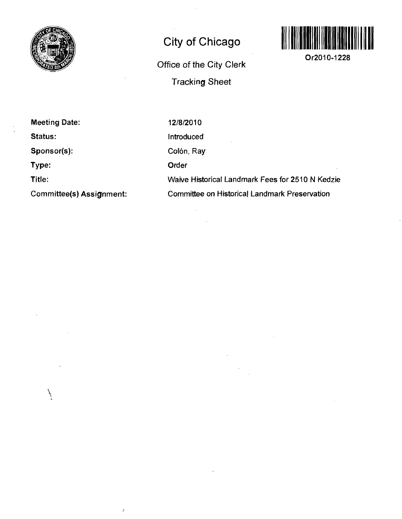

## **City of Chicago**

**Office of the City Clerk Tracking Sheet** 



**Or2010-1228** 

**Meeting Date:** 

**Status:** 

**Sponsor(s):** 

١

 $\overline{I}$ 

**Type:** 

**Title:** 

**Committee(s) Assignment:** 

12/8/2010

Introduced Colón, Ray

Order

Waive Historical Landmark Fees for 2510 N Kedzie Committee on Historical Landmark Preservation